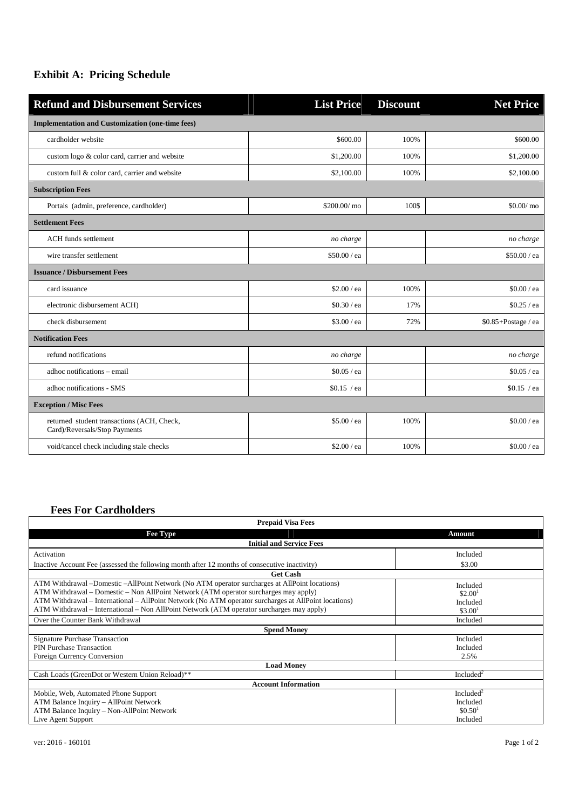## **Exhibit A: Pricing Schedule**

| <b>Refund and Disbursement Services</b>                                     | <b>List Price</b> | <b>Discount</b> | <b>Net Price</b>    |  |
|-----------------------------------------------------------------------------|-------------------|-----------------|---------------------|--|
| <b>Implementation and Customization (one-time fees)</b>                     |                   |                 |                     |  |
| cardholder website                                                          | \$600.00          | 100%            | \$600.00            |  |
| custom logo & color card, carrier and website                               | \$1,200.00        | 100%            | \$1,200.00          |  |
| custom full & color card, carrier and website                               | \$2,100.00        | 100%            | \$2,100.00          |  |
| <b>Subscription Fees</b>                                                    |                   |                 |                     |  |
| Portals (admin, preference, cardholder)                                     | \$200.00/ mo      | 100\$           | $$0.00/m$ o         |  |
| <b>Settlement Fees</b>                                                      |                   |                 |                     |  |
| <b>ACH</b> funds settlement                                                 | no charge         |                 | no charge           |  |
| wire transfer settlement                                                    | \$50.00 / ea      |                 | \$50.00 / ea        |  |
| <b>Issuance / Disbursement Fees</b>                                         |                   |                 |                     |  |
| card issuance                                                               | \$2.00 / ea       | 100%            | \$0.00 / ea         |  |
| electronic disbursement ACH)                                                | \$0.30 / ea       | 17%             | \$0.25 / ea         |  |
| check disbursement                                                          | \$3.00 / ea       | 72%             | \$0.85+Postage / ea |  |
| <b>Notification Fees</b>                                                    |                   |                 |                     |  |
| refund notifications                                                        | no charge         |                 | no charge           |  |
| adhoc notifications - email                                                 | \$0.05 / ea       |                 | $$0.05$ / ea        |  |
| adhoc notifications - SMS                                                   | $$0.15$ /ea       |                 | $$0.15$ /ea         |  |
| <b>Exception / Misc Fees</b>                                                |                   |                 |                     |  |
| returned student transactions (ACH, Check,<br>Card)/Reversals/Stop Payments | \$5.00 / ea       | 100%            | $$0.00$ / ea        |  |
| void/cancel check including stale checks                                    | \$2.00 / ea       | 100%            | \$0.00 / ea         |  |

## **Fees For Cardholders**

| <b>Prepaid Visa Fees</b>                                                                             |                       |  |  |
|------------------------------------------------------------------------------------------------------|-----------------------|--|--|
| <b>Fee Type</b>                                                                                      | Amount                |  |  |
| <b>Initial and Service Fees</b>                                                                      |                       |  |  |
| Activation                                                                                           | Included              |  |  |
| Inactive Account Fee (assessed the following month after 12 months of consecutive inactivity)        | \$3.00                |  |  |
| <b>Get Cash</b>                                                                                      |                       |  |  |
| ATM Withdrawal – Domestic – AllPoint Network (No ATM operator surcharges at AllPoint locations)      | Included              |  |  |
| ATM Withdrawal – Domestic – Non AllPoint Network (ATM operator surcharges may apply)                 | \$2.00 <sup>1</sup>   |  |  |
| ATM Withdrawal – International – AllPoint Network (No ATM operator surcharges at AllPoint locations) | Included              |  |  |
| ATM Withdrawal – International – Non AllPoint Network (ATM operator surcharges may apply)            | \$3.00 <sup>1</sup>   |  |  |
| Over the Counter Bank Withdrawal                                                                     | Included              |  |  |
| <b>Spend Money</b>                                                                                   |                       |  |  |
| <b>Signature Purchase Transaction</b>                                                                | Included              |  |  |
| <b>PIN Purchase Transaction</b>                                                                      | Included              |  |  |
| Foreign Currency Conversion                                                                          | 2.5%                  |  |  |
| <b>Load Money</b>                                                                                    |                       |  |  |
| Cash Loads (GreenDot or Western Union Reload)**                                                      | Included <sup>2</sup> |  |  |
| <b>Account Information</b>                                                                           |                       |  |  |
| Mobile, Web, Automated Phone Support                                                                 | Included <sup>2</sup> |  |  |
| ATM Balance Inquiry - AllPoint Network                                                               | Included              |  |  |
| ATM Balance Inquiry - Non-AllPoint Network                                                           | \$0.50 <sup>1</sup>   |  |  |
| Live Agent Support                                                                                   | Included              |  |  |